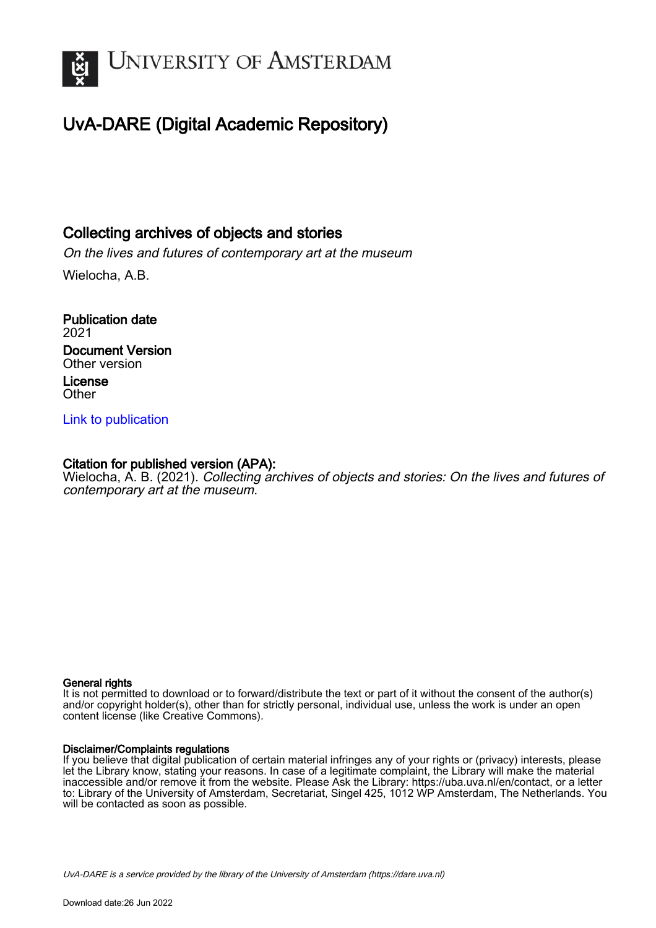

# UvA-DARE (Digital Academic Repository)

## Collecting archives of objects and stories

On the lives and futures of contemporary art at the museum Wielocha, A.B.

Publication date 2021 Document Version Other version License **Other** 

### [Link to publication](https://dare.uva.nl/personal/pure/en/publications/collecting-archives-of-objects-and-stories(9916bb82-e5f9-4a78-9266-d47ff292104a).html)

### Citation for published version (APA):

Wielocha, A. B. (2021). Collecting archives of objects and stories: On the lives and futures of contemporary art at the museum.

#### General rights

It is not permitted to download or to forward/distribute the text or part of it without the consent of the author(s) and/or copyright holder(s), other than for strictly personal, individual use, unless the work is under an open content license (like Creative Commons).

#### Disclaimer/Complaints regulations

If you believe that digital publication of certain material infringes any of your rights or (privacy) interests, please let the Library know, stating your reasons. In case of a legitimate complaint, the Library will make the material inaccessible and/or remove it from the website. Please Ask the Library: https://uba.uva.nl/en/contact, or a letter to: Library of the University of Amsterdam, Secretariat, Singel 425, 1012 WP Amsterdam, The Netherlands. You will be contacted as soon as possible.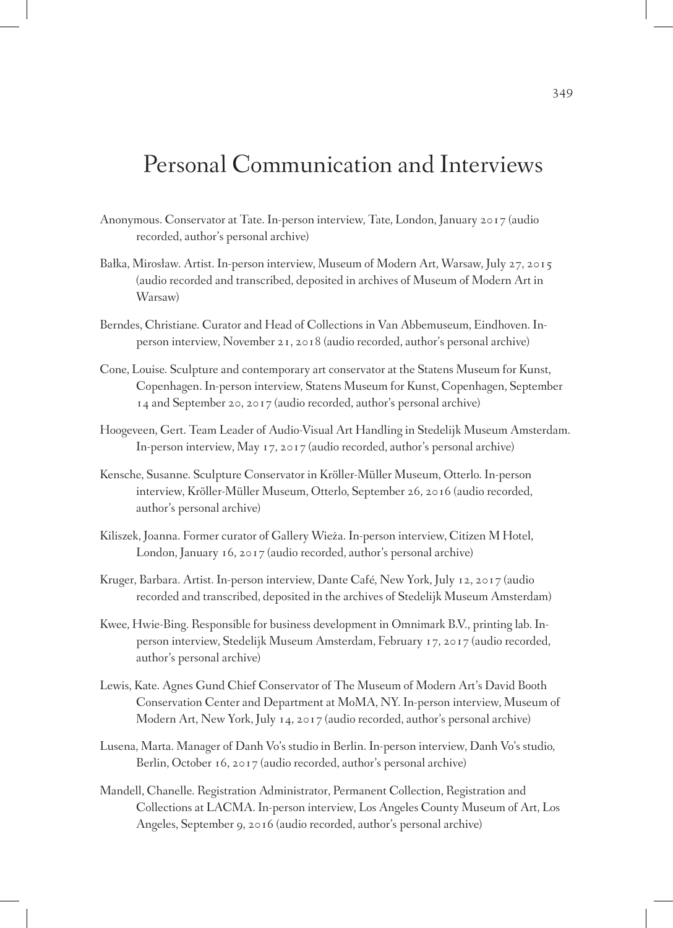# Personal Communication and Interviews

- Anonymous. Conservator at Tate. In-person interview, Tate, London, January 2017 (audio recorded, author's personal archive)
- Bałka, Mirosław. Artist. In-person interview, Museum of Modern Art, Warsaw, July 27, 2015 (audio recorded and transcribed, deposited in archives of Museum of Modern Art in Warsaw)
- Berndes, Christiane. Curator and Head of Collections in Van Abbemuseum, Eindhoven. Inperson interview, November 21, 2018 (audio recorded, author's personal archive)
- Cone, Louise. Sculpture and contemporary art conservator at the Statens Museum for Kunst, Copenhagen. In-person interview, Statens Museum for Kunst, Copenhagen, September 14 and September 20, 2017 (audio recorded, author's personal archive)
- Hoogeveen, Gert. Team Leader of Audio-Visual Art Handling in Stedelijk Museum Amsterdam. In-person interview, May 17, 2017 (audio recorded, author's personal archive)
- Kensche, Susanne. Sculpture Conservator in Kröller-Müller Museum, Otterlo. In-person interview, Kröller-Müller Museum, Otterlo, September 26, 2016 (audio recorded, author's personal archive)
- Kiliszek, Joanna. Former curator of Gallery Wieża. In-person interview, Citizen M Hotel, London, January 16, 2017 (audio recorded, author's personal archive)
- Kruger, Barbara. Artist. In-person interview, Dante Café, New York, July 12, 2017 (audio recorded and transcribed, deposited in the archives of Stedelijk Museum Amsterdam)
- Kwee, Hwie-Bing. Responsible for business development in Omnimark B.V., printing lab. Inperson interview, Stedelijk Museum Amsterdam, February 17, 2017 (audio recorded, author's personal archive)
- Lewis, Kate. Agnes Gund Chief Conservator of The Museum of Modern Art's David Booth Conservation Center and Department at MoMA, NY. In-person interview, Museum of Modern Art, New York, July 14, 2017 (audio recorded, author's personal archive)
- Lusena, Marta. Manager of Danh Vo's studio in Berlin. In-person interview, Danh Vo's studio, Berlin, October 16, 2017 (audio recorded, author's personal archive)
- Mandell, Chanelle. Registration Administrator, Permanent Collection, Registration and Collections at LACMA. In-person interview, Los Angeles County Museum of Art, Los Angeles, September 9, 2016 (audio recorded, author's personal archive)